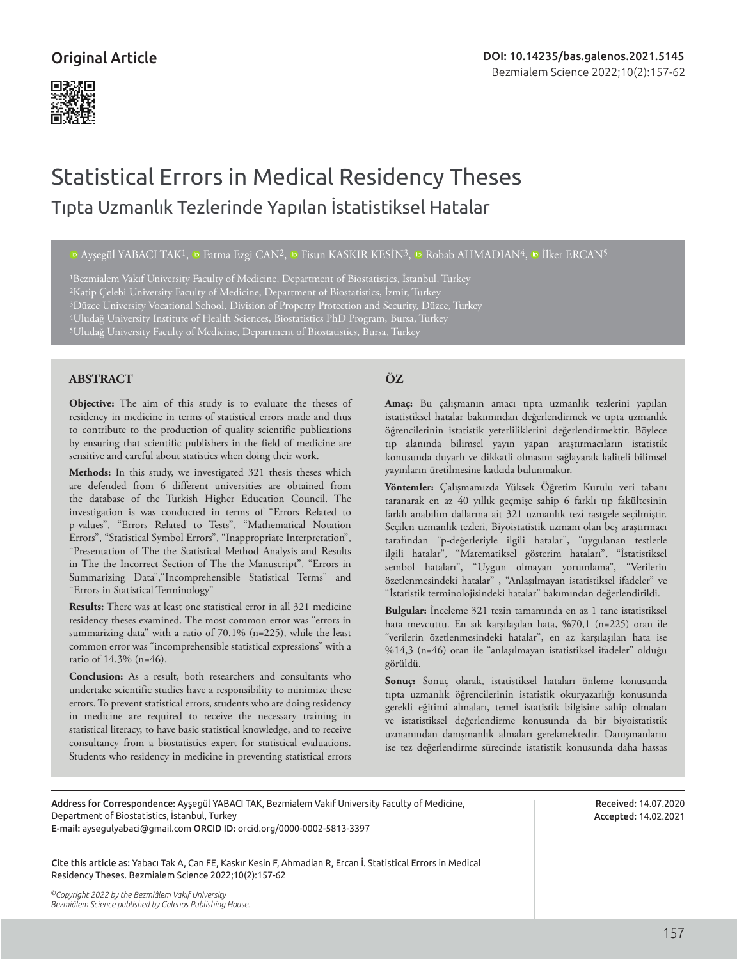

# Statistical Errors in Medical Residency Theses Tıpta Uzmanlık Tezlerinde Yapılan İstatistiksel Hatalar

<sup>io</sup>Ayşegül YABACI TAK<sup>1</sup>, <sup>io</sup> Fatma Ezgi CAN<sup>2</sup>, <sup>io</sup> Fisun KASKIR KESİN<sup>3</sup>, io Robab AHMADIAN<sup>4</sup>, io İlker ERCAN<sup>5</sup>

<sup>1</sup>Bezmialem Vakıf University Faculty of Medicine, Department of Biostatistics, İstanbul, Turkey 2Katip Çelebi University Faculty of Medicine, Department of Biostatistics, İzmir, Turkey 3Düzce University Vocational School, Division of Property Protection and Security, Düzce, Turkey 4Uludağ University Institute of Health Sciences, Biostatistics PhD Program, Bursa, Turkey 5Uludağ University Faculty of Medicine, Department of Biostatistics, Bursa, Turkey

# **ABSTRACT ÖZ**

**Objective:** The aim of this study is to evaluate the theses of residency in medicine in terms of statistical errors made and thus to contribute to the production of quality scientific publications by ensuring that scientific publishers in the field of medicine are sensitive and careful about statistics when doing their work.

**Methods:** In this study, we investigated 321 thesis theses which are defended from 6 different universities are obtained from the database of the Turkish Higher Education Council. The investigation is was conducted in terms of "Errors Related to p-values", "Errors Related to Tests", "Mathematical Notation Errors", "Statistical Symbol Errors", "Inappropriate Interpretation", "Presentation of The the Statistical Method Analysis and Results in The the Incorrect Section of The the Manuscript", "Errors in Summarizing Data","Incomprehensible Statistical Terms" and "Errors in Statistical Terminology"

**Results:** There was at least one statistical error in all 321 medicine residency theses examined. The most common error was "errors in summarizing data" with a ratio of 70.1% (n=225), while the least common error was "incomprehensible statistical expressions" with a ratio of 14.3% (n=46).

**Conclusion:** As a result, both researchers and consultants who undertake scientific studies have a responsibility to minimize these errors. To prevent statistical errors, students who are doing residency in medicine are required to receive the necessary training in statistical literacy, to have basic statistical knowledge, and to receive consultancy from a biostatistics expert for statistical evaluations. Students who residency in medicine in preventing statistical errors

**Amaç:** Bu çalışmanın amacı tıpta uzmanlık tezlerini yapılan istatistiksel hatalar bakımından değerlendirmek ve tıpta uzmanlık öğrencilerinin istatistik yeterliliklerini değerlendirmektir. Böylece tıp alanında bilimsel yayın yapan araştırmacıların istatistik konusunda duyarlı ve dikkatli olmasını sağlayarak kaliteli bilimsel yayınların üretilmesine katkıda bulunmaktır.

**Yöntemler:** Çalışmamızda Yüksek Öğretim Kurulu veri tabanı taranarak en az 40 yıllık geçmişe sahip 6 farklı tıp fakültesinin farklı anabilim dallarına ait 321 uzmanlık tezi rastgele seçilmiştir. Seçilen uzmanlık tezleri, Biyoistatistik uzmanı olan beş araştırmacı tarafından "p-değerleriyle ilgili hatalar", "uygulanan testlerle ilgili hatalar", "Matematiksel gösterim hataları", "İstatistiksel sembol hataları", "Uygun olmayan yorumlama", "Verilerin özetlenmesindeki hatalar" , "Anlaşılmayan istatistiksel ifadeler" ve "İstatistik terminolojisindeki hatalar" bakımından değerlendirildi.

**Bulgular:** İnceleme 321 tezin tamamında en az 1 tane istatistiksel hata mevcuttu. En sık karşılaşılan hata, %70,1 (n=225) oran ile "verilerin özetlenmesindeki hatalar", en az karşılaşılan hata ise %14,3 (n=46) oran ile "anlaşılmayan istatistiksel ifadeler" olduğu görüldü.

**Sonuç:** Sonuç olarak, istatistiksel hataları önleme konusunda tıpta uzmanlık öğrencilerinin istatistik okuryazarlığı konusunda gerekli eğitimi almaları, temel istatistik bilgisine sahip olmaları ve istatistiksel değerlendirme konusunda da bir biyoistatistik uzmanından danışmanlık almaları gerekmektedir. Danışmanların ise tez değerlendirme sürecinde istatistik konusunda daha hassas

Address for Correspondence: Ayşegül YABACI TAK, Bezmialem Vakıf University Faculty of Medicine, Department of Biostatistics, İstanbul, Turkey

E-mail: aysegulyabaci@gmail.com ORCID ID: orcid.org/0000-0002-5813-3397

Cite this article as: Yabacı Tak A, Can FE, Kaskır Kesin F, Ahmadian R, Ercan İ. Statistical Errors in Medical Residency Theses. Bezmialem Science 2022;10(2):157-62

*©Copyright 2022 by the Bezmiâlem Vakıf University Bezmiâlem Science published by Galenos Publishing House.* Received: 14.07.2020 Accepted: 14.02.2021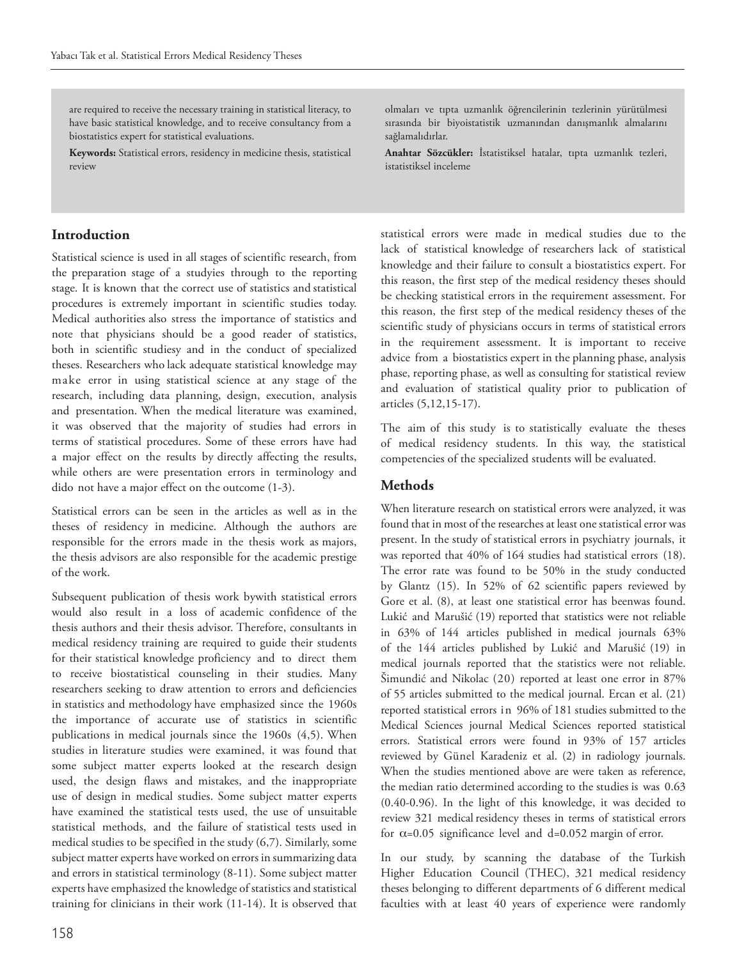are required to receive the necessary training in statistical literacy, to have basic statistical knowledge, and to receive consultancy from a biostatistics expert for statistical evaluations.

**Keywords:** Statistical errors, residency in medicine thesis, statistical review

# **Introduction**

Statistical science is used in all stages of scientific research, from the preparation stage of a studyies through to the reporting stage. It is known that the correct use of statistics and statistical procedures is extremely important in scientific studies today. Medical authorities also stress the importance of statistics and note that physicians should be a good reader of statistics, both in scientific studiesy and in the conduct of specialized theses. Researchers who lack adequate statistical knowledge may make error in using statistical science at any stage of the research, including data planning, design, execution, analysis and presentation. When the medical literature was examined, it was observed that the majority of studies had errors in terms of statistical procedures. Some of these errors have had a major effect on the results by directly affecting the results, while others are were presentation errors in terminology and dido not have a major effect on the outcome (1-3).

Statistical errors can be seen in the articles as well as in the theses of residency in medicine. Although the authors are responsible for the errors made in the thesis work as majors, the thesis advisors are also responsible for the academic prestige of the work.

Subsequent publication of thesis work bywith statistical errors would also result in a loss of academic confidence of the thesis authors and their thesis advisor. Therefore, consultants in medical residency training are required to guide their students for their statistical knowledge proficiency and to direct them to receive biostatistical counseling in their studies. Many researchers seeking to draw attention to errors and deficiencies in statistics and methodology have emphasized since the 1960s the importance of accurate use of statistics in scientific publications in medical journals since the 1960s (4,5). When studies in literature studies were examined, it was found that some subject matter experts looked at the research design used, the design flaws and mistakes, and the inappropriate use of design in medical studies. Some subject matter experts have examined the statistical tests used, the use of unsuitable statistical methods, and the failure of statistical tests used in medical studies to be specified in the study (6,7). Similarly, some subject matter experts have worked on errors in summarizing data and errors in statistical terminology (8-11). Some subject matter experts have emphasized the knowledge of statistics and statistical training for clinicians in their work (11-14). It is observed that olmaları ve tıpta uzmanlık öğrencilerinin tezlerinin yürütülmesi sırasında bir biyoistatistik uzmanından danışmanlık almalarını sağlamalıdırlar.

**Anahtar Sözcükler:** İstatistiksel hatalar, tıpta uzmanlık tezleri, istatistiksel inceleme

statistical errors were made in medical studies due to the lack of statistical knowledge of researchers lack of statistical knowledge and their failure to consult a biostatistics expert. For this reason, the first step of the medical residency theses should be checking statistical errors in the requirement assessment. For this reason, the first step of the medical residency theses of the scientific study of physicians occurs in terms of statistical errors in the requirement assessment. It is important to receive advice from a biostatistics expert in the planning phase, analysis phase, reporting phase, as well as consulting for statistical review and evaluation of statistical quality prior to publication of articles (5,12,15-17).

The aim of this study is to statistically evaluate the theses of medical residency students. In this way, the statistical competencies of the specialized students will be evaluated.

## **Methods**

When literature research on statistical errors were analyzed, it was found that in most of the researches at least one statistical error was present. In the study of statistical errors in psychiatry journals, it was reported that 40% of 164 studies had statistical errors (18). The error rate was found to be 50% in the study conducted by Glantz (15). In 52% of 62 scientific papers reviewed by Gore et al. (8), at least one statistical error has beenwas found. Lukić and Marušić (19) reported that statistics were not reliable in 63% of 144 articles published in medical journals 63% of the 144 articles published by Lukić and Marušić (19) in medical journals reported that the statistics were not reliable. Šimundić and Nikolac (20) reported at least one error in 87% of 55 articles submitted to the medical journal. Ercan et al. (21) reported statistical errors in 96% of 181 studies submitted to the Medical Sciences journal Medical Sciences reported statistical errors. Statistical errors were found in 93% of 157 articles reviewed by Günel Karadeniz et al. (2) in radiology journals. When the studies mentioned above are were taken as reference, the median ratio determined according to the studies is was 0.63 (0.40-0.96). In the light of this knowledge, it was decided to review 321 medical residency theses in terms of statistical errors for  $\alpha$ =0.05 significance level and d=0.052 margin of error.

In our study, by scanning the database of the Turkish Higher Education Council (THEC), 321 medical residency theses belonging to different departments of 6 different medical faculties with at least 40 years of experience were randomly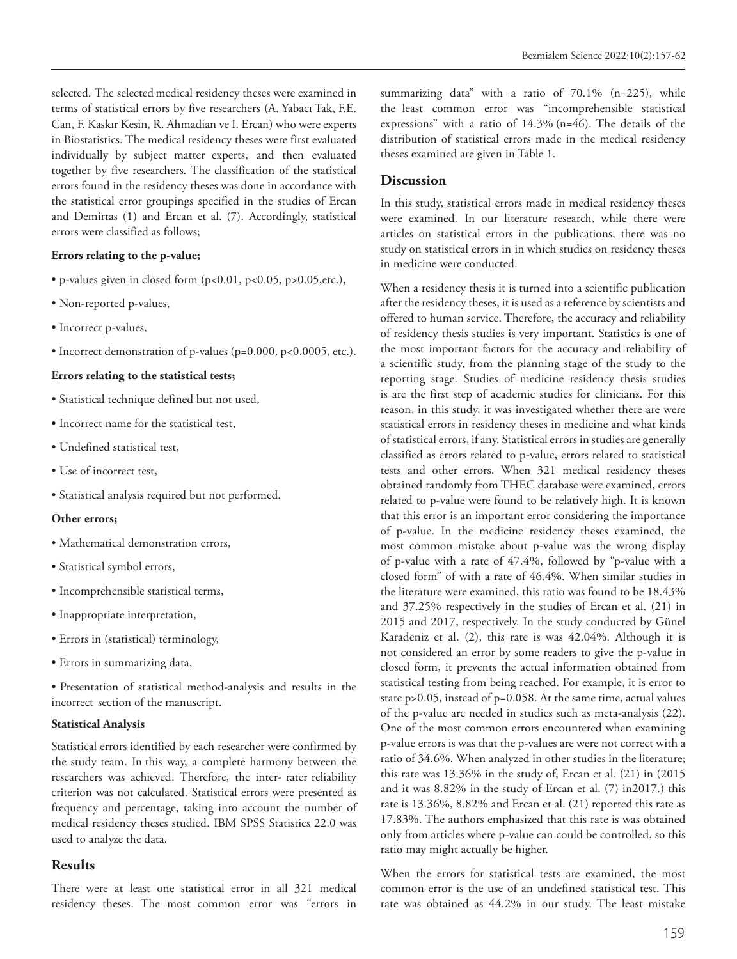selected. The selected medical residency theses were examined in terms of statistical errors by five researchers (A. Yabacı Tak, F.E. Can, F. Kaskır Kesin, R. Ahmadian ve I. Ercan) who were experts in Biostatistics. The medical residency theses were first evaluated individually by subject matter experts, and then evaluated together by five researchers. The classification of the statistical errors found in the residency theses was done in accordance with the statistical error groupings specified in the studies of Ercan and Demirtas (1) and Ercan et al. (7). Accordingly, statistical errors were classified as follows;

#### **Errors relating to the p-value;**

- $\bullet$  p-values given in closed form (p<0.01, p<0.05, p>0.05, etc.),
- Non-reported p-values,
- Incorrect p-values,
- Incorrect demonstration of p-values (p=0.000, p<0.0005, etc.).

#### **Errors relating to the statistical tests;**

- Statistical technique defined but not used,
- Incorrect name for the statistical test,
- Undefined statistical test,
- Use of incorrect test,
- Statistical analysis required but not performed.

#### **Other errors;**

- Mathematical demonstration errors,
- Statistical symbol errors,
- Incomprehensible statistical terms,
- Inappropriate interpretation,
- Errors in (statistical) terminology,
- Errors in summarizing data,

• Presentation of statistical method-analysis and results in the incorrect section of the manuscript.

#### **Statistical Analysis**

Statistical errors identified by each researcher were confirmed by the study team. In this way, a complete harmony between the researchers was achieved. Therefore, the inter- rater reliability criterion was not calculated. Statistical errors were presented as frequency and percentage, taking into account the number of medical residency theses studied. IBM SPSS Statistics 22.0 was used to analyze the data.

### **Results**

There were at least one statistical error in all 321 medical residency theses. The most common error was "errors in summarizing data" with a ratio of 70.1% (n=225), while the least common error was "incomprehensible statistical expressions" with a ratio of 14.3% (n=46). The details of the distribution of statistical errors made in the medical residency theses examined are given in Table 1.

### **Discussion**

In this study, statistical errors made in medical residency theses were examined. In our literature research, while there were articles on statistical errors in the publications, there was no study on statistical errors in in which studies on residency theses in medicine were conducted.

When a residency thesis it is turned into a scientific publication after the residency theses, it is used as a reference by scientists and offered to human service. Therefore, the accuracy and reliability of residency thesis studies is very important. Statistics is one of the most important factors for the accuracy and reliability of a scientific study, from the planning stage of the study to the reporting stage. Studies of medicine residency thesis studies is are the first step of academic studies for clinicians. For this reason, in this study, it was investigated whether there are were statistical errors in residency theses in medicine and what kinds of statistical errors, if any. Statistical errors in studies are generally classified as errors related to p-value, errors related to statistical tests and other errors. When 321 medical residency theses obtained randomly from THEC database were examined, errors related to p-value were found to be relatively high. It is known that this error is an important error considering the importance of p-value. In the medicine residency theses examined, the most common mistake about p-value was the wrong display of p-value with a rate of 47.4%, followed by "p-value with a closed form" of with a rate of 46.4%. When similar studies in the literature were examined, this ratio was found to be 18.43% and 37.25% respectively in the studies of Ercan et al. (21) in 2015 and 2017, respectively. In the study conducted by Günel Karadeniz et al. (2), this rate is was 42.04%. Although it is not considered an error by some readers to give the p-value in closed form, it prevents the actual information obtained from statistical testing from being reached. For example, it is error to state p>0.05, instead of p=0.058. At the same time, actual values of the p-value are needed in studies such as meta-analysis (22). One of the most common errors encountered when examining p-value errors is was that the p-values are were not correct with a ratio of 34.6%. When analyzed in other studies in the literature; this rate was 13.36% in the study of, Ercan et al. (21) in (2015 and it was 8.82% in the study of Ercan et al. (7) in2017.) this rate is 13.36%, 8.82% and Ercan et al. (21) reported this rate as 17.83%. The authors emphasized that this rate is was obtained only from articles where p-value can could be controlled, so this ratio may might actually be higher.

When the errors for statistical tests are examined, the most common error is the use of an undefined statistical test. This rate was obtained as 44.2% in our study. The least mistake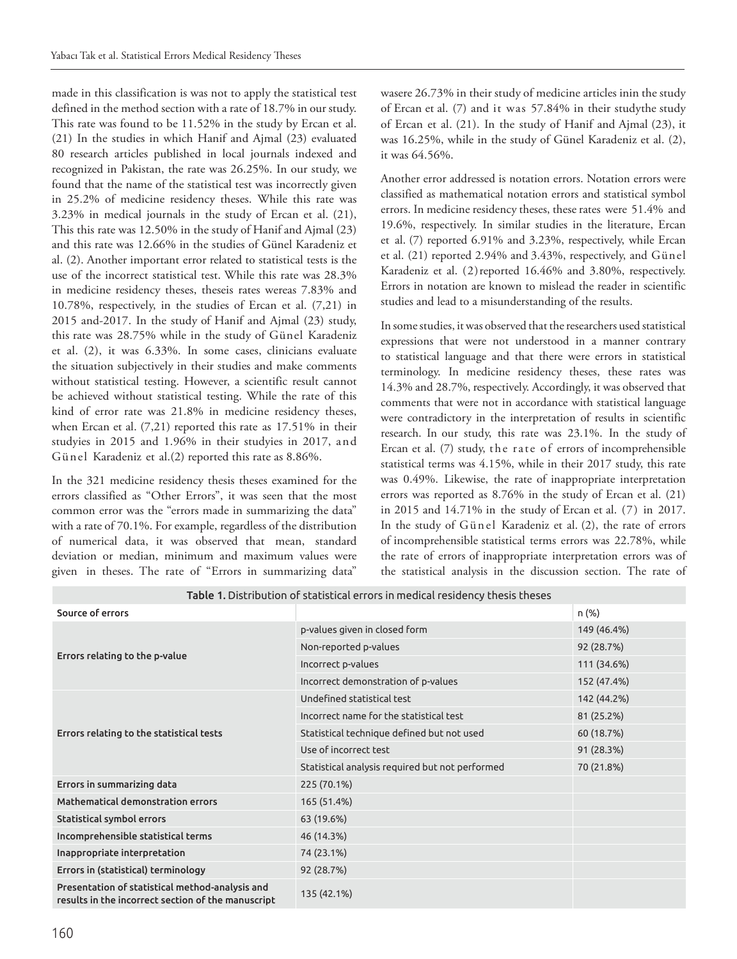made in this classification is was not to apply the statistical test defined in the method section with a rate of 18.7% in our study. This rate was found to be 11.52% in the study by Ercan et al. (21) In the studies in which Hanif and Ajmal (23) evaluated 80 research articles published in local journals indexed and recognized in Pakistan, the rate was 26.25%. In our study, we found that the name of the statistical test was incorrectly given in 25.2% of medicine residency theses. While this rate was 3.23% in medical journals in the study of Ercan et al. (21), This this rate was 12.50% in the study of Hanif and Ajmal (23) and this rate was 12.66% in the studies of Günel Karadeniz et al. (2). Another important error related to statistical tests is the use of the incorrect statistical test. While this rate was 28.3% in medicine residency theses, theseis rates wereas 7.83% and 10.78%, respectively, in the studies of Ercan et al. (7,21) in 2015 and-2017. In the study of Hanif and Ajmal (23) study, this rate was 28.75% while in the study of Günel Karadeniz et al. (2), it was 6.33%. In some cases, clinicians evaluate the situation subjectively in their studies and make comments without statistical testing. However, a scientific result cannot be achieved without statistical testing. While the rate of this kind of error rate was 21.8% in medicine residency theses, when Ercan et al. (7,21) reported this rate as 17.51% in their studyies in 2015 and 1.96% in their studyies in 2017, and Günel Karadeniz et al.(2) reported this rate as 8.86%.

In the 321 medicine residency thesis theses examined for the errors classified as "Other Errors", it was seen that the most common error was the "errors made in summarizing the data" with a rate of 70.1%. For example, regardless of the distribution of numerical data, it was observed that mean, standard deviation or median, minimum and maximum values were given in theses. The rate of "Errors in summarizing data" wasere 26.73% in their study of medicine articles inin the study of Ercan et al. (7) and it was 57.84% in their studythe study of Ercan et al. (21). In the study of Hanif and Ajmal (23), it was 16.25%, while in the study of Günel Karadeniz et al. (2), it was 64.56%.

Another error addressed is notation errors. Notation errors were classified as mathematical notation errors and statistical symbol errors. In medicine residency theses, these rates were 51.4% and 19.6%, respectively. In similar studies in the literature, Ercan et al. (7) reported 6.91% and 3.23%, respectively, while Ercan et al. (21) reported 2.94% and 3.43%, respectively, and Günel Karadeniz et al. (2)reported 16.46% and 3.80%, respectively. Errors in notation are known to mislead the reader in scientific studies and lead to a misunderstanding of the results.

In some studies, it was observed that the researchers used statistical expressions that were not understood in a manner contrary to statistical language and that there were errors in statistical terminology. In medicine residency theses, these rates was 14.3% and 28.7%, respectively. Accordingly, it was observed that comments that were not in accordance with statistical language were contradictory in the interpretation of results in scientific research. In our study, this rate was 23.1%. In the study of Ercan et al. (7) study, the rate of errors of incomprehensible statistical terms was 4.15%, while in their 2017 study, this rate was 0.49%. Likewise, the rate of inappropriate interpretation errors was reported as 8.76% in the study of Ercan et al. (21) in 2015 and 14.71% in the study of Ercan et al. (7) in 2017. In the study of Günel Karadeniz et al. (2), the rate of errors of incomprehensible statistical terms errors was 22.78%, while the rate of errors of inappropriate interpretation errors was of the statistical analysis in the discussion section. The rate of

| Table 1. Distribution of statistical errors in medical residency thesis theses                        |                                                 |             |
|-------------------------------------------------------------------------------------------------------|-------------------------------------------------|-------------|
| Source of errors                                                                                      |                                                 | n (%)       |
| Errors relating to the p-value                                                                        | p-values given in closed form                   | 149 (46.4%) |
|                                                                                                       | Non-reported p-values                           | 92 (28.7%)  |
|                                                                                                       | Incorrect p-values                              | 111 (34.6%) |
|                                                                                                       | Incorrect demonstration of p-values             | 152 (47.4%) |
| Errors relating to the statistical tests                                                              | Undefined statistical test                      | 142 (44.2%) |
|                                                                                                       | Incorrect name for the statistical test         | 81 (25.2%)  |
|                                                                                                       | Statistical technique defined but not used      | 60 (18.7%)  |
|                                                                                                       | Use of incorrect test                           | 91 (28.3%)  |
|                                                                                                       | Statistical analysis required but not performed | 70 (21.8%)  |
| Errors in summarizing data                                                                            | 225 (70.1%)                                     |             |
| <b>Mathematical demonstration errors</b>                                                              | 165 (51.4%)                                     |             |
| Statistical symbol errors                                                                             | 63 (19.6%)                                      |             |
| Incomprehensible statistical terms                                                                    | 46 (14.3%)                                      |             |
| Inappropriate interpretation                                                                          | 74 (23.1%)                                      |             |
| Errors in (statistical) terminology                                                                   | 92 (28.7%)                                      |             |
| Presentation of statistical method-analysis and<br>results in the incorrect section of the manuscript | 135 (42.1%)                                     |             |

Table 1. Distribution of statistical errors in medical residency thesis theses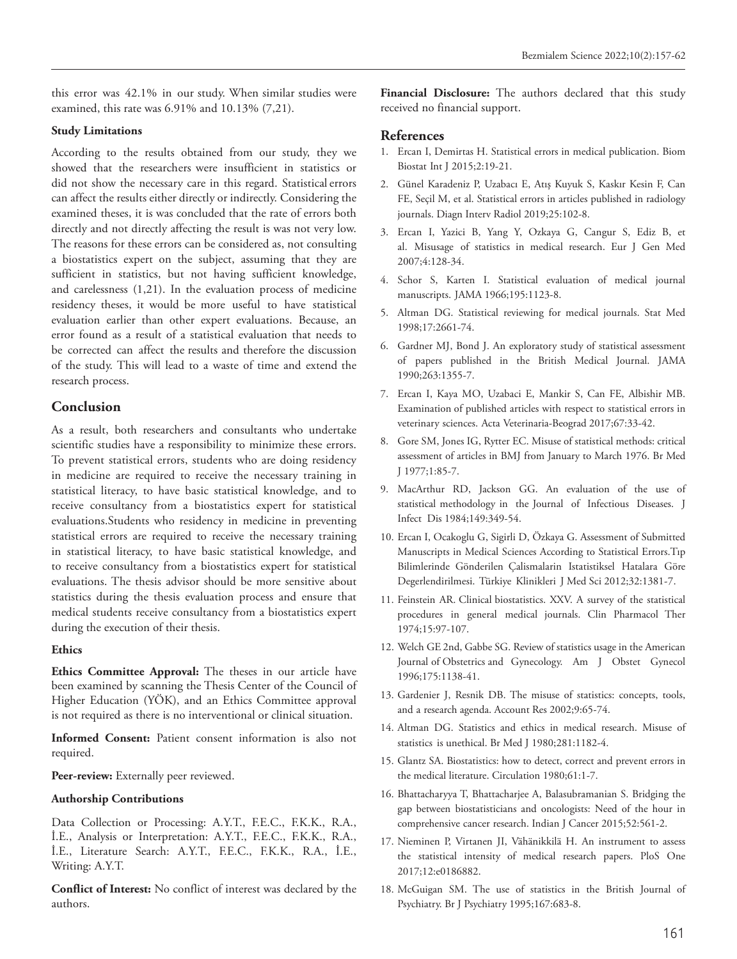this error was 42.1% in our study. When similar studies were examined, this rate was 6.91% and 10.13% (7,21).

#### **Study Limitations**

According to the results obtained from our study, they we showed that the researchers were insufficient in statistics or did not show the necessary care in this regard. Statistical errors can affect the results either directly or indirectly. Considering the examined theses, it is was concluded that the rate of errors both directly and not directly affecting the result is was not very low. The reasons for these errors can be considered as, not consulting a biostatistics expert on the subject, assuming that they are sufficient in statistics, but not having sufficient knowledge, and carelessness (1,21). In the evaluation process of medicine residency theses, it would be more useful to have statistical evaluation earlier than other expert evaluations. Because, an error found as a result of a statistical evaluation that needs to be corrected can affect the results and therefore the discussion of the study. This will lead to a waste of time and extend the research process.

# **Conclusion**

As a result, both researchers and consultants who undertake scientific studies have a responsibility to minimize these errors. To prevent statistical errors, students who are doing residency in medicine are required to receive the necessary training in statistical literacy, to have basic statistical knowledge, and to receive consultancy from a biostatistics expert for statistical evaluations.Students who residency in medicine in preventing statistical errors are required to receive the necessary training in statistical literacy, to have basic statistical knowledge, and to receive consultancy from a biostatistics expert for statistical evaluations. The thesis advisor should be more sensitive about statistics during the thesis evaluation process and ensure that medical students receive consultancy from a biostatistics expert during the execution of their thesis.

#### **Ethics**

**Ethics Committee Approval:** The theses in our article have been examined by scanning the Thesis Center of the Council of Higher Education (YÖK), and an Ethics Committee approval is not required as there is no interventional or clinical situation.

**Informed Consent:** Patient consent information is also not required.

Peer-review: Externally peer reviewed.

#### **Authorship Contributions**

Data Collection or Processing: A.Y.T., F.E.C., F.K.K., R.A., İ.E., Analysis or Interpretation: A.Y.T., F.E.C., F.K.K., R.A., İ.E., Literature Search: A.Y.T., F.E.C., F.K.K., R.A., İ.E., Writing: A.Y.T.

**Conflict of Interest:** No conflict of interest was declared by the authors.

**Financial Disclosure:** The authors declared that this study received no financial support.

# **References**

- 1. Ercan I, Demirtas H. Statistical errors in medical publication. Biom Biostat Int J 2015;2:19-21.
- 2. Günel Karadeniz P, Uzabacı E, Atış Kuyuk S, Kaskır Kesin F, Can FE, Seçil M, et al. Statistical errors in articles published in radiology journals. Diagn Interv Radiol 2019;25:102-8.
- 3. Ercan I, Yazici B, Yang Y, Ozkaya G, Cangur S, Ediz B, et al. Misusage of statistics in medical research. Eur J Gen Med 2007;4:128-34.
- 4. Schor S, Karten I. Statistical evaluation of medical journal manuscripts. JAMA 1966;195:1123-8.
- 5. Altman DG. Statistical reviewing for medical journals. Stat Med 1998;17:2661-74.
- 6. Gardner MJ, Bond J. An exploratory study of statistical assessment of papers published in the British Medical Journal. JAMA 1990;263:1355-7.
- 7. Ercan I, Kaya MO, Uzabaci E, Mankir S, Can FE, Albishir MB. Examination of published articles with respect to statistical errors in veterinary sciences. Acta Veterinaria-Beograd 2017;67:33-42.
- 8. Gore SM, Jones IG, Rytter EC. Misuse of statistical methods: critical assessment of articles in BMJ from January to March 1976. Br Med J 1977;1:85-7.
- 9. MacArthur RD, Jackson GG. An evaluation of the use of statistical methodology in the Journal of Infectious Diseases. J Infect Dis 1984;149:349-54.
- 10. Ercan I, Ocakoglu G, Sigirli D, Özkaya G. Assessment of Submitted Manuscripts in Medical Sciences According to Statistical Errors.Tıp Bilimlerinde Gönderilen Çalismalarin Istatistiksel Hatalara Göre Degerlendirilmesi. Türkiye Klinikleri J Med Sci 2012;32:1381-7.
- 11. Feinstein AR. Clinical biostatistics. XXV. A survey of the statistical procedures in general medical journals. Clin Pharmacol Ther 1974;15:97-107.
- 12. Welch GE 2nd, Gabbe SG. Review of statistics usage in the American Journal of Obstetrics and Gynecology. Am J Obstet Gynecol 1996;175:1138-41.
- 13. Gardenier J, Resnik DB. The misuse of statistics: concepts, tools, and a research agenda. Account Res 2002;9:65-74.
- 14. Altman DG. Statistics and ethics in medical research. Misuse of statistics is unethical. Br Med J 1980;281:1182-4.
- 15. Glantz SA. Biostatistics: how to detect, correct and prevent errors in the medical literature. Circulation 1980;61:1-7.
- 16. Bhattacharyya T, Bhattacharjee A, Balasubramanian S. Bridging the gap between biostatisticians and oncologists: Need of the hour in comprehensive cancer research. Indian J Cancer 2015;52:561-2.
- 17. Nieminen P, Virtanen JI, Vähänikkilä H. An instrument to assess the statistical intensity of medical research papers. PloS One 2017;12:e0186882.
- 18. McGuigan SM. The use of statistics in the British Journal of Psychiatry. Br J Psychiatry 1995;167:683-8.